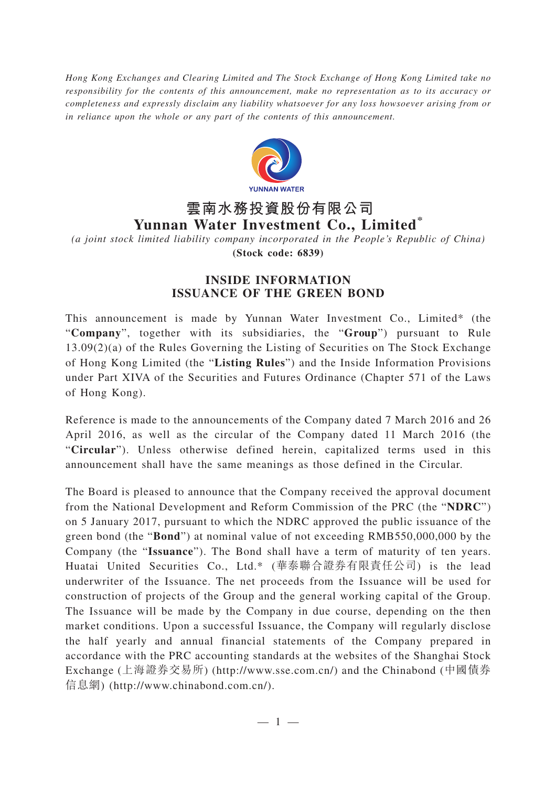*Hong Kong Exchanges and Clearing Limited and The Stock Exchange of Hong Kong Limited take no responsibility for the contents of this announcement, make no representation as to its accuracy or completeness and expressly disclaim any liability whatsoever for any loss howsoever arising from or in reliance upon the whole or any part of the contents of this announcement.*



## **雲南水務投資股份有限公司 Yunnan Water Investment Co., Limited\***

*(a joint stock limited liability company incorporated in the People's Republic of China)* **(Stock code: 6839)**

## **INSIDE INFORMATION ISSUANCE OF THE GREEN BOND**

This announcement is made by Yunnan Water Investment Co., Limited\* (the "**Company**", together with its subsidiaries, the "**Group**") pursuant to Rule 13.09(2)(a) of the Rules Governing the Listing of Securities on The Stock Exchange of Hong Kong Limited (the "**Listing Rules**") and the Inside Information Provisions under Part XIVA of the Securities and Futures Ordinance (Chapter 571 of the Laws of Hong Kong).

Reference is made to the announcements of the Company dated 7 March 2016 and 26 April 2016, as well as the circular of the Company dated 11 March 2016 (the "**Circular**"). Unless otherwise defined herein, capitalized terms used in this announcement shall have the same meanings as those defined in the Circular.

The Board is pleased to announce that the Company received the approval document from the National Development and Reform Commission of the PRC (the "**NDRC**") on 5 January 2017, pursuant to which the NDRC approved the public issuance of the green bond (the "**Bond**") at nominal value of not exceeding RMB550,000,000 by the Company (the "**Issuance**"). The Bond shall have a term of maturity of ten years. Huatai United Securities Co., Ltd.\* (華泰聯合證券有限責任公司) is the lead underwriter of the Issuance. The net proceeds from the Issuance will be used for construction of projects of the Group and the general working capital of the Group. The Issuance will be made by the Company in due course, depending on the then market conditions. Upon a successful Issuance, the Company will regularly disclose the half yearly and annual financial statements of the Company prepared in accordance with the PRC accounting standards at the websites of the Shanghai Stock Exchange (上海證券交易所) (http://www.sse.com.cn/) and the Chinabond (中國債券 信息網) (http://www.chinabond.com.cn/).